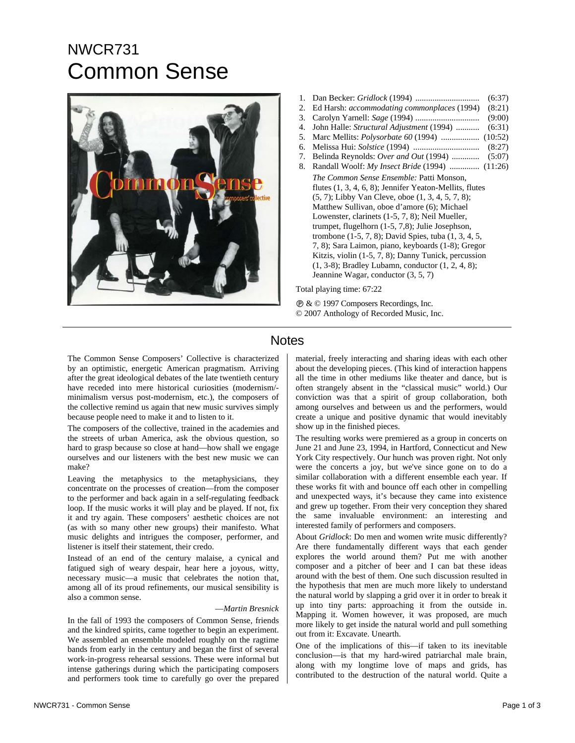## NWCR731 Common Sense



- 1. Dan Becker: *Gridlock* (1994) .............................. (6:37) 2. Ed Harsh: *accommodating commonplaces* (1994) (8:21) 3. Carolyn Yarnell: *Sage* (1994) .............................. (9:00) 4. John Halle: *Structural Adjustment* (1994) ........... (6:31) 5. Marc Mellits: *Polysorbate 60* (1994) .................. (10:52) 6. Melissa Hui: *Solstice* (1994) ............................... (8:27) 7. Belinda Reynolds: *Over and Out* (1994) ............. (5:07) 8. Randall Woolf: *My Insect Bride* (1994) .............. (11:26) *The Common Sense Ensemble:* Patti Monson, flutes (1, 3, 4, 6, 8); Jennifer Yeaton-Mellits, flutes (5, 7); Libby Van Cleve, oboe (1, 3, 4, 5, 7, 8); Matthew Sullivan, oboe d'amore (6); Michael Lowenster, clarinets (1-5, 7, 8); Neil Mueller, trumpet, flugelhorn (1-5, 7,8); Julie Josephson, trombone (1-5, 7, 8); David Spies, tuba (1, 3, 4, 5, 7, 8); Sara Laimon, piano, keyboards (1-8); Gregor Kitzis, violin (1-5, 7, 8); Danny Tunick, percussion
	- (1, 3-8); Bradley Lubamn, conductor (1, 2, 4, 8); Jeannine Wagar, conductor (3, 5, 7)

Total playing time: 67:22

Ê & © 1997 Composers Recordings, Inc. © 2007 Anthology of Recorded Music, Inc.

## **Notes**

The Common Sense Composers' Collective is characterized by an optimistic, energetic American pragmatism. Arriving after the great ideological debates of the late twentieth century have receded into mere historical curiosities (modernism/ minimalism versus post-modernism, etc.), the composers of the collective remind us again that new music survives simply because people need to make it and to listen to it.

The composers of the collective, trained in the academies and the streets of urban America, ask the obvious question, so hard to grasp because so close at hand—how shall we engage ourselves and our listeners with the best new music we can make?

Leaving the metaphysics to the metaphysicians, they concentrate on the processes of creation—from the composer to the performer and back again in a self-regulating feedback loop. If the music works it will play and be played. If not, fix it and try again. These composers' aesthetic choices are not (as with so many other new groups) their manifesto. What music delights and intrigues the composer, performer, and listener is itself their statement, their credo.

Instead of an end of the century malaise, a cynical and fatigued sigh of weary despair, hear here a joyous, witty, necessary music—a music that celebrates the notion that, among all of its proud refinements, our musical sensibility is also a common sense.

## —*Martin Bresnick*

In the fall of 1993 the composers of Common Sense, friends and the kindred spirits, came together to begin an experiment. We assembled an ensemble modeled roughly on the ragtime bands from early in the century and began the first of several work-in-progress rehearsal sessions. These were informal but intense gatherings during which the participating composers and performers took time to carefully go over the prepared about the developing pieces. (This kind of interaction happens all the time in other mediums like theater and dance, but is often strangely absent in the "classical music" world.) Our conviction was that a spirit of group collaboration, both among ourselves and between us and the performers, would create a unique and positive dynamic that would inevitably show up in the finished pieces. The resulting works were premiered as a group in concerts on

material, freely interacting and sharing ideas with each other

June 21 and June 23, 1994, in Hartford, Connecticut and New York City respectively. Our hunch was proven right. Not only were the concerts a joy, but we've since gone on to do a similar collaboration with a different ensemble each year. If these works fit with and bounce off each other in compelling and unexpected ways, it's because they came into existence and grew up together. From their very conception they shared the same invaluable environment: an interesting and interested family of performers and composers.

About *Gridlock*: Do men and women write music differently? Are there fundamentally different ways that each gender explores the world around them? Put me with another composer and a pitcher of beer and I can bat these ideas around with the best of them. One such discussion resulted in the hypothesis that men are much more likely to understand the natural world by slapping a grid over it in order to break it up into tiny parts: approaching it from the outside in. Mapping it. Women however, it was proposed, are much more likely to get inside the natural world and pull something out from it: Excavate. Unearth.

One of the implications of this—if taken to its inevitable conclusion—is that my hard-wired patriarchal male brain, along with my longtime love of maps and grids, has contributed to the destruction of the natural world. Quite a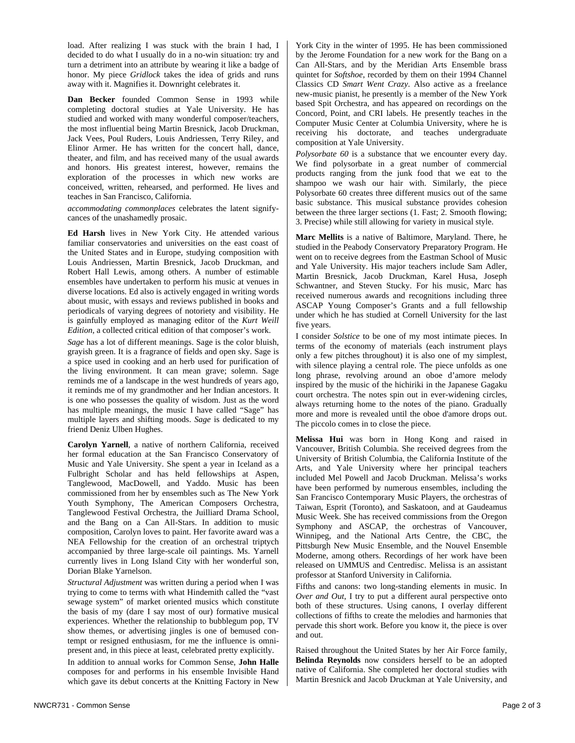load. After realizing I was stuck with the brain I had, I decided to do what I usually do in a no-win situation: try and turn a detriment into an attribute by wearing it like a badge of honor. My piece *Gridlock* takes the idea of grids and runs away with it. Magnifies it. Downright celebrates it.

**Dan Becker** founded Common Sense in 1993 while completing doctoral studies at Yale University. He has studied and worked with many wonderful composer/teachers, the most influential being Martin Bresnick, Jacob Druckman, Jack Vees, Poul Ruders, Louis Andriessen, Terry Riley, and Elinor Armer. He has written for the concert hall, dance, theater, and film, and has received many of the usual awards and honors. His greatest interest, however, remains the exploration of the processes in which new works are conceived, written, rehearsed, and performed. He lives and teaches in San Francisco, California.

*accommodating commonplaces* celebrates the latent signifycances of the unashamedly prosaic.

**Ed Harsh** lives in New York City. He attended various familiar conservatories and universities on the east coast of the United States and in Europe, studying composition with Louis Andriessen, Martin Bresnick, Jacob Druckman, and Robert Hall Lewis, among others. A number of estimable ensembles have undertaken to perform his music at venues in diverse locations. Ed also is actively engaged in writing words about music, with essays and reviews published in books and periodicals of varying degrees of notoriety and visibility. He is gainfully employed as managing editor of the *Kurt Weill Edition*, a collected critical edition of that composer's work.

*Sage* has a lot of different meanings. Sage is the color bluish, grayish green. It is a fragrance of fields and open sky. Sage is a spice used in cooking and an herb used for purification of the living environment. It can mean grave; solemn. Sage reminds me of a landscape in the west hundreds of years ago, it reminds me of my grandmother and her Indian ancestors. It is one who possesses the quality of wisdom. Just as the word has multiple meanings, the music I have called "Sage" has multiple layers and shifting moods. *Sage* is dedicated to my friend Deniz Ulben Hughes.

**Carolyn Yarnell**, a native of northern California, received her formal education at the San Francisco Conservatory of Music and Yale University. She spent a year in Iceland as a Fulbright Scholar and has held fellowships at Aspen, Tanglewood, MacDowell, and Yaddo. Music has been commissioned from her by ensembles such as The New York Youth Symphony, The American Composers Orchestra, Tanglewood Festival Orchestra, the Juilliard Drama School, and the Bang on a Can All-Stars. In addition to music composition, Carolyn loves to paint. Her favorite award was a NEA Fellowship for the creation of an orchestral triptych accompanied by three large-scale oil paintings. Ms. Yarnell currently lives in Long Island City with her wonderful son, Dorian Blake Yarnelson.

*Structural Adjustment* was written during a period when I was trying to come to terms with what Hindemith called the "vast sewage system" of market oriented musics which constitute the basis of my (dare I say most of our) formative musical experiences. Whether the relationship to bubblegum pop, TV show themes, or advertising jingles is one of bemused contempt or resigned enthusiasm, for me the influence is omnipresent and, in this piece at least, celebrated pretty explicitly.

In addition to annual works for Common Sense, **John Halle** composes for and performs in his ensemble Invisible Hand which gave its debut concerts at the Knitting Factory in New

York City in the winter of 1995. He has been commissioned by the Jerome Foundation for a new work for the Bang on a Can All-Stars, and by the Meridian Arts Ensemble brass quintet for *Softshoe*, recorded by them on their 1994 Channel Classics CD *Smart Went Crazy*. Also active as a freelance new-music pianist, he presently is a member of the New York based Spit Orchestra, and has appeared on recordings on the Concord, Point, and CRI labels. He presently teaches in the Computer Music Center at Columbia University, where he is receiving his doctorate, and teaches undergraduate composition at Yale University.

*Polysorbate 60* is a substance that we encounter every day. We find polysorbate in a great number of commercial products ranging from the junk food that we eat to the shampoo we wash our hair with. Similarly, the piece Polysorbate 60 creates three different musics out of the same basic substance. This musical substance provides cohesion between the three larger sections (1. Fast; 2. Smooth flowing; 3. Precise) while still allowing for variety in musical style.

**Marc Mellits** is a native of Baltimore, Maryland. There, he studied in the Peabody Conservatory Preparatory Program. He went on to receive degrees from the Eastman School of Music and Yale University. His major teachers include Sam Adler, Martin Bresnick, Jacob Druckman, Karel Husa, Joseph Schwantner, and Steven Stucky. For his music, Marc has received numerous awards and recognitions including three ASCAP Young Composer's Grants and a full fellowship under which he has studied at Cornell University for the last five years.

I consider *Solstice* to be one of my most intimate pieces. In terms of the economy of materials (each instrument plays only a few pitches throughout) it is also one of my simplest, with silence playing a central role. The piece unfolds as one long phrase, revolving around an oboe d'amore melody inspired by the music of the hichiriki in the Japanese Gagaku court orchestra. The notes spin out in ever-widening circles, always returning home to the notes of the piano. Gradually more and more is revealed until the oboe d'amore drops out. The piccolo comes in to close the piece.

**Melissa Hui** was born in Hong Kong and raised in Vancouver, British Columbia. She received degrees from the University of British Columbia, the California Institute of the Arts, and Yale University where her principal teachers included Mel Powell and Jacob Druckman. Melissa's works have been performed by numerous ensembles, including the San Francisco Contemporary Music Players, the orchestras of Taiwan, Esprit (Toronto), and Saskatoon, and at Gaudeamus Music Week. She has received commissions from the Oregon Symphony and ASCAP, the orchestras of Vancouver, Winnipeg, and the National Arts Centre, the CBC, the Pittsburgh New Music Ensemble, and the Nouvel Ensemble Moderne, among others. Recordings of her work have been released on UMMUS and Centredisc. Melissa is an assistant professor at Stanford University in California.

Fifths and canons: two long-standing elements in music. In *Over and Out*, I try to put a different aural perspective onto both of these structures. Using canons, I overlay different collections of fifths to create the melodies and harmonies that pervade this short work. Before you know it, the piece is over and out.

Raised throughout the United States by her Air Force family, **Belinda Reynolds** now considers herself to be an adopted native of California. She completed her doctoral studies with Martin Bresnick and Jacob Druckman at Yale University, and